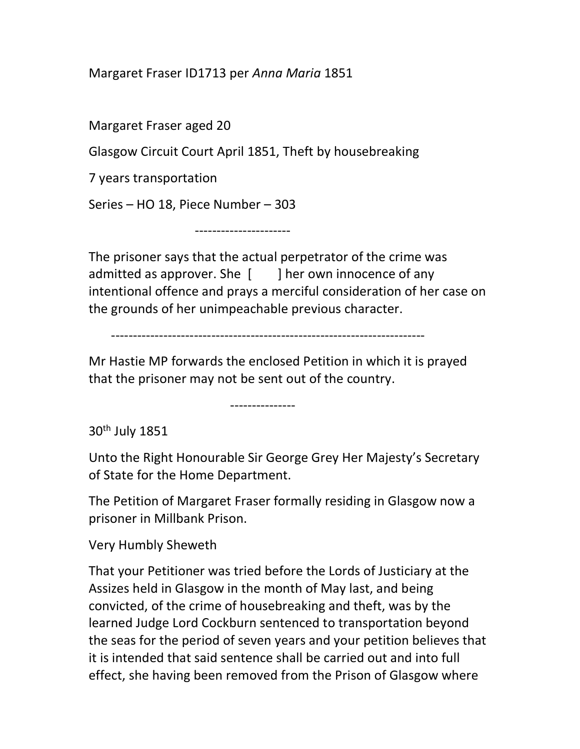Margaret Fraser ID1713 per Anna Maria 1851

Margaret Fraser aged 20

Glasgow Circuit Court April 1851, Theft by housebreaking

7 years transportation

Series – HO 18, Piece Number – 303

----------------------

The prisoner says that the actual perpetrator of the crime was admitted as approver. She  $\lceil \cdot \cdot \rceil$  her own innocence of any intentional offence and prays a merciful consideration of her case on the grounds of her unimpeachable previous character.

------------------------------------------------------------------------

Mr Hastie MP forwards the enclosed Petition in which it is prayed that the prisoner may not be sent out of the country.

---------------

30th July 1851

Unto the Right Honourable Sir George Grey Her Majesty's Secretary of State for the Home Department.

The Petition of Margaret Fraser formally residing in Glasgow now a prisoner in Millbank Prison.

Very Humbly Sheweth

That your Petitioner was tried before the Lords of Justiciary at the Assizes held in Glasgow in the month of May last, and being convicted, of the crime of housebreaking and theft, was by the learned Judge Lord Cockburn sentenced to transportation beyond the seas for the period of seven years and your petition believes that it is intended that said sentence shall be carried out and into full effect, she having been removed from the Prison of Glasgow where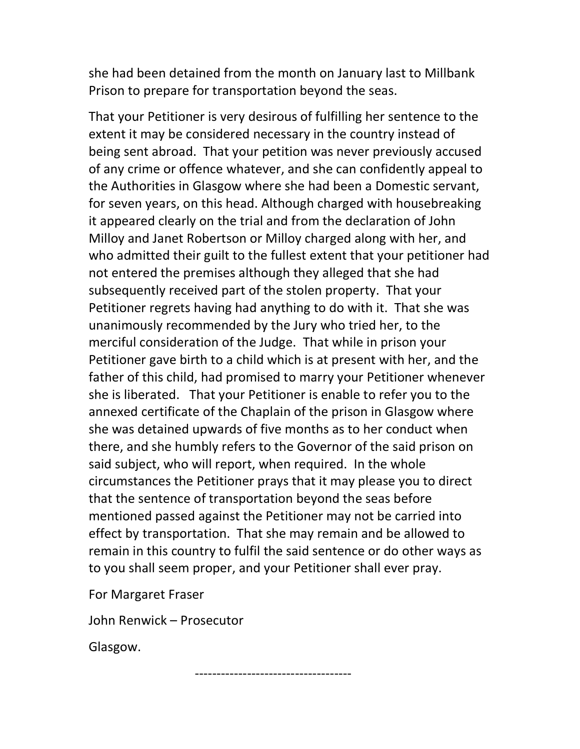she had been detained from the month on January last to Millbank Prison to prepare for transportation beyond the seas.

That your Petitioner is very desirous of fulfilling her sentence to the extent it may be considered necessary in the country instead of being sent abroad. That your petition was never previously accused of any crime or offence whatever, and she can confidently appeal to the Authorities in Glasgow where she had been a Domestic servant, for seven years, on this head. Although charged with housebreaking it appeared clearly on the trial and from the declaration of John Milloy and Janet Robertson or Milloy charged along with her, and who admitted their guilt to the fullest extent that your petitioner had not entered the premises although they alleged that she had subsequently received part of the stolen property. That your Petitioner regrets having had anything to do with it. That she was unanimously recommended by the Jury who tried her, to the merciful consideration of the Judge. That while in prison your Petitioner gave birth to a child which is at present with her, and the father of this child, had promised to marry your Petitioner whenever she is liberated. That your Petitioner is enable to refer you to the annexed certificate of the Chaplain of the prison in Glasgow where she was detained upwards of five months as to her conduct when there, and she humbly refers to the Governor of the said prison on said subject, who will report, when required. In the whole circumstances the Petitioner prays that it may please you to direct that the sentence of transportation beyond the seas before mentioned passed against the Petitioner may not be carried into effect by transportation. That she may remain and be allowed to remain in this country to fulfil the said sentence or do other ways as to you shall seem proper, and your Petitioner shall ever pray.

------------------------------------

For Margaret Fraser

John Renwick – Prosecutor

Glasgow.